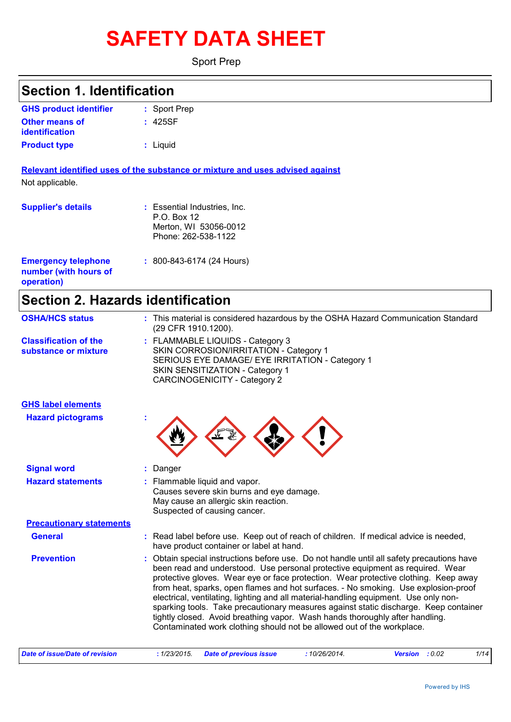# **SAFETY DATA SHEET**

Sport Prep

#### Sport Prep **: GHS product identifier Section 1. Identification**

| . <b>JUULLIU</b> W |
|--------------------|
| : 425SF            |
|                    |
| : Liguid           |
|                    |

**Relevant identified uses of the substance or mixture and uses advised against** Not applicable.

| <b>Supplier's details</b>                                         | : Essential Industries, Inc.<br>P.O. Box 12<br>Merton, WI 53056-0012<br>Phone: 262-538-1122 |
|-------------------------------------------------------------------|---------------------------------------------------------------------------------------------|
| <b>Emergency telephone</b><br>number (with hours of<br>operation) | $: 800 - 843 - 6174$ (24 Hours)                                                             |

# **Section 2. Hazards identification**

| : This material is considered hazardous by the OSHA Hazard Communication Standard<br>(29 CFR 1910.1200).<br>: FLAMMABLE LIQUIDS - Category 3<br>SKIN CORROSION/IRRITATION - Category 1                                                                                                                                                                                                                                                                                                                                                                                                                                                                                                          |
|-------------------------------------------------------------------------------------------------------------------------------------------------------------------------------------------------------------------------------------------------------------------------------------------------------------------------------------------------------------------------------------------------------------------------------------------------------------------------------------------------------------------------------------------------------------------------------------------------------------------------------------------------------------------------------------------------|
|                                                                                                                                                                                                                                                                                                                                                                                                                                                                                                                                                                                                                                                                                                 |
| SERIOUS EYE DAMAGE/ EYE IRRITATION - Category 1<br>SKIN SENSITIZATION - Category 1<br>CARCINOGENICITY - Category 2                                                                                                                                                                                                                                                                                                                                                                                                                                                                                                                                                                              |
|                                                                                                                                                                                                                                                                                                                                                                                                                                                                                                                                                                                                                                                                                                 |
|                                                                                                                                                                                                                                                                                                                                                                                                                                                                                                                                                                                                                                                                                                 |
| Danger                                                                                                                                                                                                                                                                                                                                                                                                                                                                                                                                                                                                                                                                                          |
| Flammable liquid and vapor.<br>Causes severe skin burns and eye damage.<br>May cause an allergic skin reaction.<br>Suspected of causing cancer.                                                                                                                                                                                                                                                                                                                                                                                                                                                                                                                                                 |
| <b>Precautionary statements</b>                                                                                                                                                                                                                                                                                                                                                                                                                                                                                                                                                                                                                                                                 |
| Read label before use. Keep out of reach of children. If medical advice is needed,<br>have product container or label at hand.                                                                                                                                                                                                                                                                                                                                                                                                                                                                                                                                                                  |
| Obtain special instructions before use. Do not handle until all safety precautions have<br>been read and understood. Use personal protective equipment as required. Wear<br>protective gloves. Wear eye or face protection. Wear protective clothing. Keep away<br>from heat, sparks, open flames and hot surfaces. - No smoking. Use explosion-proof<br>electrical, ventilating, lighting and all material-handling equipment. Use only non-<br>sparking tools. Take precautionary measures against static discharge. Keep container<br>tightly closed. Avoid breathing vapor. Wash hands thoroughly after handling.<br>Contaminated work clothing should not be allowed out of the workplace. |
|                                                                                                                                                                                                                                                                                                                                                                                                                                                                                                                                                                                                                                                                                                 |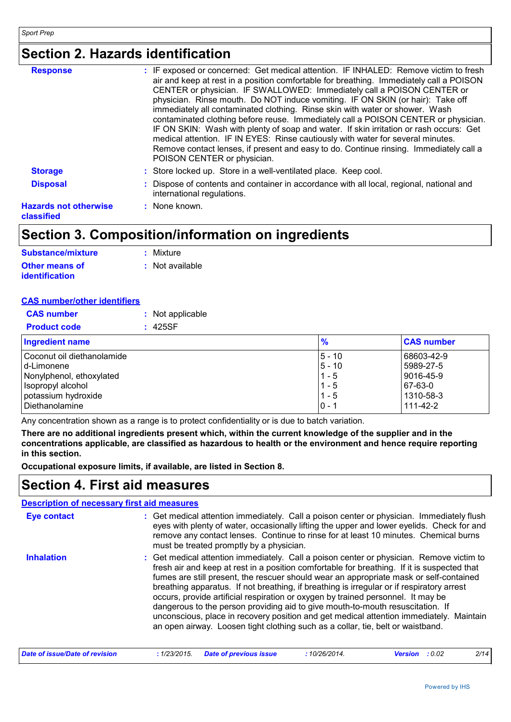### **Section 2. Hazards identification**

| <b>Response</b>                            | : IF exposed or concerned: Get medical attention. IF INHALED: Remove victim to fresh<br>air and keep at rest in a position comfortable for breathing. Immediately call a POISON<br>CENTER or physician. IF SWALLOWED: Immediately call a POISON CENTER or<br>physician. Rinse mouth. Do NOT induce vomiting. IF ON SKIN (or hair): Take off<br>immediately all contaminated clothing. Rinse skin with water or shower. Wash<br>contaminated clothing before reuse. Immediately call a POISON CENTER or physician.<br>IF ON SKIN: Wash with plenty of soap and water. If skin irritation or rash occurs: Get<br>medical attention. IF IN EYES: Rinse cautiously with water for several minutes.<br>Remove contact lenses, if present and easy to do. Continue rinsing. Immediately call a<br>POISON CENTER or physician. |
|--------------------------------------------|-------------------------------------------------------------------------------------------------------------------------------------------------------------------------------------------------------------------------------------------------------------------------------------------------------------------------------------------------------------------------------------------------------------------------------------------------------------------------------------------------------------------------------------------------------------------------------------------------------------------------------------------------------------------------------------------------------------------------------------------------------------------------------------------------------------------------|
| <b>Storage</b>                             | : Store locked up. Store in a well-ventilated place. Keep cool.                                                                                                                                                                                                                                                                                                                                                                                                                                                                                                                                                                                                                                                                                                                                                         |
| <b>Disposal</b>                            | : Dispose of contents and container in accordance with all local, regional, national and<br>international regulations.                                                                                                                                                                                                                                                                                                                                                                                                                                                                                                                                                                                                                                                                                                  |
| <b>Hazards not otherwise</b><br>classified | : None known.                                                                                                                                                                                                                                                                                                                                                                                                                                                                                                                                                                                                                                                                                                                                                                                                           |

### **Section 3. Composition/information on ingredients**

| <b>Substance/mixture</b> | : Mixture         |
|--------------------------|-------------------|
| <b>Other means of</b>    | $:$ Not available |
| <i>identification</i>    |                   |

#### **CAS number/other identifiers**

| <b>CAS</b> number   | : Not applicable |
|---------------------|------------------|
| <b>Product code</b> | : 425SF          |

| <b>Ingredient name</b>     | $\frac{9}{6}$ | <b>CAS number</b> |
|----------------------------|---------------|-------------------|
| Coconut oil diethanolamide | $5 - 10$      | 68603-42-9        |
| Id-Limonene                | $5 - 10$      | 5989-27-5         |
| Nonylphenol, ethoxylated   | $1 - 5$       | 9016-45-9         |
| Isopropyl alcohol          | $1 - 5$       | 67-63-0           |
| potassium hydroxide        | $1 - 5$       | 1310-58-3         |
| l Diethanolamine           | $0 - 7$       | 111-42-2          |

Any concentration shown as a range is to protect confidentiality or is due to batch variation.

**There are no additional ingredients present which, within the current knowledge of the supplier and in the concentrations applicable, are classified as hazardous to health or the environment and hence require reporting in this section.**

**Occupational exposure limits, if available, are listed in Section 8.**

### **Section 4. First aid measures**

#### Get medical attention immediately. Call a poison center or physician. Immediately flush **:** eyes with plenty of water, occasionally lifting the upper and lower eyelids. Check for and remove any contact lenses. Continue to rinse for at least 10 minutes. Chemical burns must be treated promptly by a physician. Get medical attention immediately. Call a poison center or physician. Remove victim to fresh air and keep at rest in a position comfortable for breathing. If it is suspected that fumes are still present, the rescuer should wear an appropriate mask or self-contained breathing apparatus. If not breathing, if breathing is irregular or if respiratory arrest occurs, provide artificial respiration or oxygen by trained personnel. It may be dangerous to the person providing aid to give mouth-to-mouth resuscitation. If unconscious, place in recovery position and get medical attention immediately. Maintain an open airway. Loosen tight clothing such as a collar, tie, belt or waistband. **Eye contact Inhalation : Description of necessary first aid measures**

| Date of issue/Date of revision<br>: 1/23/2015 Date of previous issue<br>10/26/2014.<br><b>Version</b> : 0.02 | 2/14 |
|--------------------------------------------------------------------------------------------------------------|------|
|--------------------------------------------------------------------------------------------------------------|------|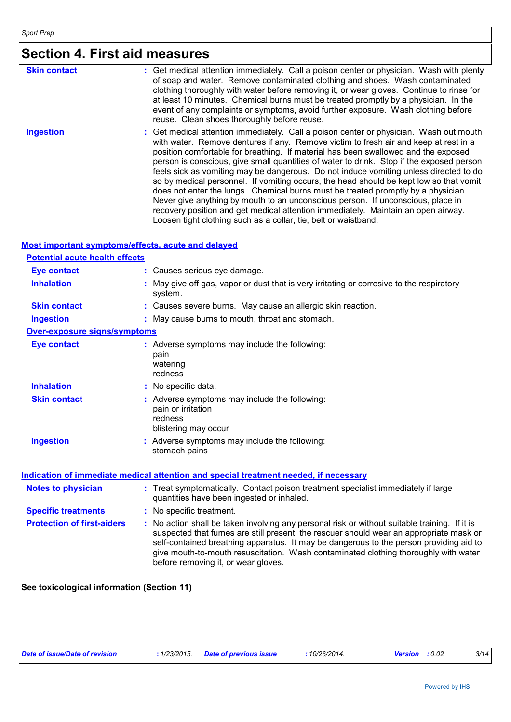# **Section 4. First aid measures**

| <b>Skin contact</b> | : Get medical attention immediately. Call a poison center or physician. Wash with plenty<br>of soap and water. Remove contaminated clothing and shoes. Wash contaminated<br>clothing thoroughly with water before removing it, or wear gloves. Continue to rinse for<br>at least 10 minutes. Chemical burns must be treated promptly by a physician. In the<br>event of any complaints or symptoms, avoid further exposure. Wash clothing before<br>reuse. Clean shoes thoroughly before reuse.                                                                                                                                                                                                                                                                                                                                                                                     |
|---------------------|-------------------------------------------------------------------------------------------------------------------------------------------------------------------------------------------------------------------------------------------------------------------------------------------------------------------------------------------------------------------------------------------------------------------------------------------------------------------------------------------------------------------------------------------------------------------------------------------------------------------------------------------------------------------------------------------------------------------------------------------------------------------------------------------------------------------------------------------------------------------------------------|
| <b>Ingestion</b>    | : Get medical attention immediately. Call a poison center or physician. Wash out mouth<br>with water. Remove dentures if any. Remove victim to fresh air and keep at rest in a<br>position comfortable for breathing. If material has been swallowed and the exposed<br>person is conscious, give small quantities of water to drink. Stop if the exposed person<br>feels sick as vomiting may be dangerous. Do not induce vomiting unless directed to do<br>so by medical personnel. If vomiting occurs, the head should be kept low so that vomit<br>does not enter the lungs. Chemical burns must be treated promptly by a physician.<br>Never give anything by mouth to an unconscious person. If unconscious, place in<br>recovery position and get medical attention immediately. Maintain an open airway.<br>Loosen tight clothing such as a collar, tie, belt or waistband. |

#### **Most important symptoms/effects, acute and delayed**

| <b>Potential acute health effects</b> |                                                                                                                                                                                                                                                                                                                                                                                                                 |
|---------------------------------------|-----------------------------------------------------------------------------------------------------------------------------------------------------------------------------------------------------------------------------------------------------------------------------------------------------------------------------------------------------------------------------------------------------------------|
| <b>Eye contact</b>                    | : Causes serious eye damage.                                                                                                                                                                                                                                                                                                                                                                                    |
| <b>Inhalation</b>                     | : May give off gas, vapor or dust that is very irritating or corrosive to the respiratory<br>system.                                                                                                                                                                                                                                                                                                            |
| <b>Skin contact</b>                   | : Causes severe burns. May cause an allergic skin reaction.                                                                                                                                                                                                                                                                                                                                                     |
| <b>Ingestion</b>                      | : May cause burns to mouth, throat and stomach.                                                                                                                                                                                                                                                                                                                                                                 |
| <b>Over-exposure signs/symptoms</b>   |                                                                                                                                                                                                                                                                                                                                                                                                                 |
| <b>Eye contact</b>                    | : Adverse symptoms may include the following:<br>pain<br>watering<br>redness                                                                                                                                                                                                                                                                                                                                    |
| <b>Inhalation</b>                     | : No specific data.                                                                                                                                                                                                                                                                                                                                                                                             |
| <b>Skin contact</b>                   | : Adverse symptoms may include the following:<br>pain or irritation<br>redness<br>blistering may occur                                                                                                                                                                                                                                                                                                          |
| <b>Ingestion</b>                      | : Adverse symptoms may include the following:<br>stomach pains                                                                                                                                                                                                                                                                                                                                                  |
|                                       | Indication of immediate medical attention and special treatment needed, if necessary                                                                                                                                                                                                                                                                                                                            |
| <b>Notes to physician</b>             | : Treat symptomatically. Contact poison treatment specialist immediately if large<br>quantities have been ingested or inhaled.                                                                                                                                                                                                                                                                                  |
| <b>Specific treatments</b>            | : No specific treatment.                                                                                                                                                                                                                                                                                                                                                                                        |
| <b>Protection of first-aiders</b>     | : No action shall be taken involving any personal risk or without suitable training. If it is<br>suspected that fumes are still present, the rescuer should wear an appropriate mask or<br>self-contained breathing apparatus. It may be dangerous to the person providing aid to<br>give mouth-to-mouth resuscitation. Wash contaminated clothing thoroughly with water<br>before removing it, or wear gloves. |

**See toxicological information (Section 11)**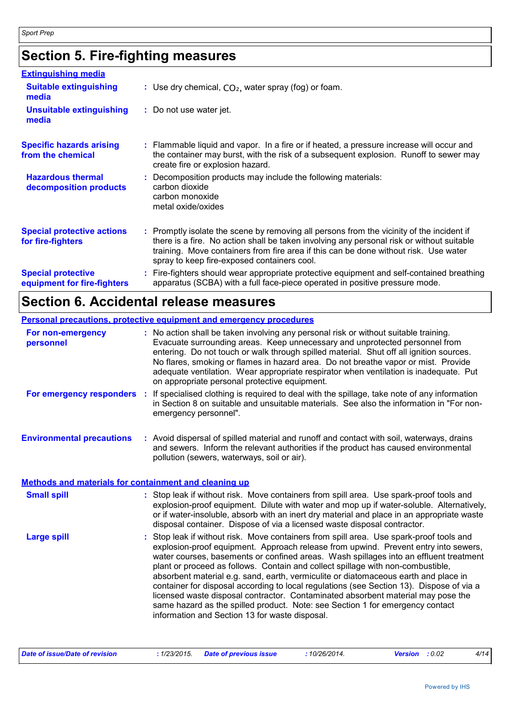# **Section 5. Fire-fighting measures**

| <b>Extinguishing media</b>                               |                                                                                                                                                                                                                                                                                                                               |
|----------------------------------------------------------|-------------------------------------------------------------------------------------------------------------------------------------------------------------------------------------------------------------------------------------------------------------------------------------------------------------------------------|
| <b>Suitable extinguishing</b><br>media                   | : Use dry chemical, $CO2$ , water spray (fog) or foam.                                                                                                                                                                                                                                                                        |
| <b>Unsuitable extinguishing</b><br>media                 | : Do not use water jet.                                                                                                                                                                                                                                                                                                       |
| <b>Specific hazards arising</b><br>from the chemical     | : Flammable liquid and vapor. In a fire or if heated, a pressure increase will occur and<br>the container may burst, with the risk of a subsequent explosion. Runoff to sewer may<br>create fire or explosion hazard.                                                                                                         |
| <b>Hazardous thermal</b><br>decomposition products       | Decomposition products may include the following materials:<br>carbon dioxide<br>carbon monoxide<br>metal oxide/oxides                                                                                                                                                                                                        |
| <b>Special protective actions</b><br>for fire-fighters   | : Promptly isolate the scene by removing all persons from the vicinity of the incident if<br>there is a fire. No action shall be taken involving any personal risk or without suitable<br>training. Move containers from fire area if this can be done without risk. Use water<br>spray to keep fire-exposed containers cool. |
| <b>Special protective</b><br>equipment for fire-fighters | Fire-fighters should wear appropriate protective equipment and self-contained breathing<br>apparatus (SCBA) with a full face-piece operated in positive pressure mode.                                                                                                                                                        |

# **Section 6. Accidental release measures**

|                                                              | <b>Personal precautions, protective equipment and emergency procedures</b>                                                                                                                                                                                                                                                                                                                                                                                                                     |
|--------------------------------------------------------------|------------------------------------------------------------------------------------------------------------------------------------------------------------------------------------------------------------------------------------------------------------------------------------------------------------------------------------------------------------------------------------------------------------------------------------------------------------------------------------------------|
| For non-emergency<br>personnel                               | : No action shall be taken involving any personal risk or without suitable training.<br>Evacuate surrounding areas. Keep unnecessary and unprotected personnel from<br>entering. Do not touch or walk through spilled material. Shut off all ignition sources.<br>No flares, smoking or flames in hazard area. Do not breathe vapor or mist. Provide<br>adequate ventilation. Wear appropriate respirator when ventilation is inadequate. Put<br>on appropriate personal protective equipment. |
| For emergency responders                                     | If specialised clothing is required to deal with the spillage, take note of any information<br>-21<br>in Section 8 on suitable and unsuitable materials. See also the information in "For non-<br>emergency personnel".                                                                                                                                                                                                                                                                        |
| <b>Environmental precautions</b>                             | : Avoid dispersal of spilled material and runoff and contact with soil, waterways, drains<br>and sewers. Inform the relevant authorities if the product has caused environmental<br>pollution (sewers, waterways, soil or air).                                                                                                                                                                                                                                                                |
| <b>Methods and materials for containment and cleaning up</b> |                                                                                                                                                                                                                                                                                                                                                                                                                                                                                                |
| <b>Small spill</b>                                           | : Stop leak if without risk. Move containers from spill area. Use spark-proof tools and<br>explosion-proof equipment. Dilute with water and mop up if water-soluble. Alternatively,<br>or if water-insoluble, absorb with an inert dry material and place in an appropriate waste<br>disposal container. Dispose of via a licensed waste disposal contractor.                                                                                                                                  |
| <b>Large spill</b>                                           | Stop leak if without risk. Move containers from spill area. Use spark-proof tools and<br>explosion-proof equipment. Approach release from upwind. Prevent entry into sewers,<br>water courses, basements or confined areas. Wash spillages into an effluent treatment<br>plant or proceed as follows. Contain and collect spillage with non-combustible,<br>absorbent material e.g. sand, earth, vermiculite or diatomaceous earth and place in                                                |

container for disposal according to local regulations (see Section 13). Dispose of via a licensed waste disposal contractor. Contaminated absorbent material may pose the same hazard as the spilled product. Note: see Section 1 for emergency contact information and Section 13 for waste disposal.

| Date of issue/Date of revision | : 1/23/2015 Date of previous issue | 10/26/2014. | <b>Version</b> : 0.02 |  |  |
|--------------------------------|------------------------------------|-------------|-----------------------|--|--|
|--------------------------------|------------------------------------|-------------|-----------------------|--|--|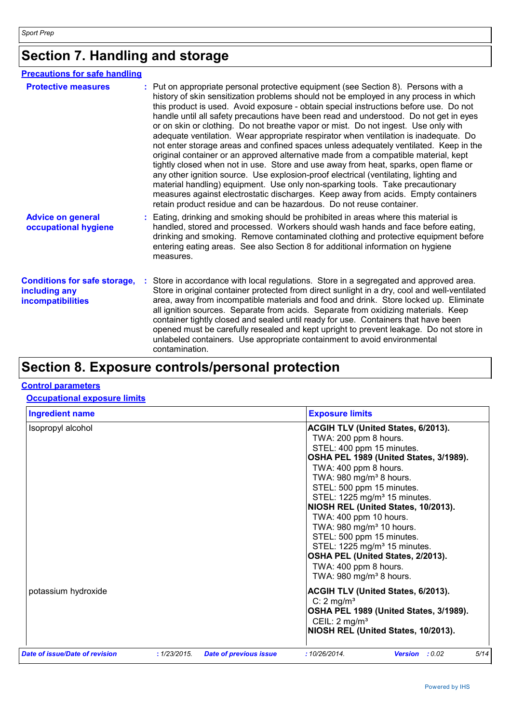# **Section 7. Handling and storage**

| <b>Precautions for safe handling</b>                                             |                                                                                                                                                                                                                                                                                                                                                                                                                                                                                                                                                                                                                                                                                                                                                                                                                                                                                                                                                                                                                                                                                                                                                          |
|----------------------------------------------------------------------------------|----------------------------------------------------------------------------------------------------------------------------------------------------------------------------------------------------------------------------------------------------------------------------------------------------------------------------------------------------------------------------------------------------------------------------------------------------------------------------------------------------------------------------------------------------------------------------------------------------------------------------------------------------------------------------------------------------------------------------------------------------------------------------------------------------------------------------------------------------------------------------------------------------------------------------------------------------------------------------------------------------------------------------------------------------------------------------------------------------------------------------------------------------------|
| <b>Protective measures</b>                                                       | : Put on appropriate personal protective equipment (see Section 8). Persons with a<br>history of skin sensitization problems should not be employed in any process in which<br>this product is used. Avoid exposure - obtain special instructions before use. Do not<br>handle until all safety precautions have been read and understood. Do not get in eyes<br>or on skin or clothing. Do not breathe vapor or mist. Do not ingest. Use only with<br>adequate ventilation. Wear appropriate respirator when ventilation is inadequate. Do<br>not enter storage areas and confined spaces unless adequately ventilated. Keep in the<br>original container or an approved alternative made from a compatible material, kept<br>tightly closed when not in use. Store and use away from heat, sparks, open flame or<br>any other ignition source. Use explosion-proof electrical (ventilating, lighting and<br>material handling) equipment. Use only non-sparking tools. Take precautionary<br>measures against electrostatic discharges. Keep away from acids. Empty containers<br>retain product residue and can be hazardous. Do not reuse container. |
| <b>Advice on general</b><br>occupational hygiene                                 | Eating, drinking and smoking should be prohibited in areas where this material is<br>handled, stored and processed. Workers should wash hands and face before eating,<br>drinking and smoking. Remove contaminated clothing and protective equipment before<br>entering eating areas. See also Section 8 for additional information on hygiene<br>measures.                                                                                                                                                                                                                                                                                                                                                                                                                                                                                                                                                                                                                                                                                                                                                                                              |
| <b>Conditions for safe storage,</b><br>including any<br><b>incompatibilities</b> | Store in accordance with local regulations. Store in a segregated and approved area.<br>Store in original container protected from direct sunlight in a dry, cool and well-ventilated<br>area, away from incompatible materials and food and drink. Store locked up. Eliminate<br>all ignition sources. Separate from acids. Separate from oxidizing materials. Keep<br>container tightly closed and sealed until ready for use. Containers that have been<br>opened must be carefully resealed and kept upright to prevent leakage. Do not store in<br>unlabeled containers. Use appropriate containment to avoid environmental<br>contamination.                                                                                                                                                                                                                                                                                                                                                                                                                                                                                                       |

### **Section 8. Exposure controls/personal protection**

#### **Control parameters**

**Occupational exposure limits**

| <b>Ingredient name</b>         |              |                               | <b>Exposure limits</b>                                                                                                                                                                                                                                                                                                                                                                                                                                                                                                                                               |
|--------------------------------|--------------|-------------------------------|----------------------------------------------------------------------------------------------------------------------------------------------------------------------------------------------------------------------------------------------------------------------------------------------------------------------------------------------------------------------------------------------------------------------------------------------------------------------------------------------------------------------------------------------------------------------|
| Isopropyl alcohol              |              |                               | ACGIH TLV (United States, 6/2013).<br>TWA: 200 ppm 8 hours.<br>STEL: 400 ppm 15 minutes.<br>OSHA PEL 1989 (United States, 3/1989).<br>TWA: 400 ppm 8 hours.<br>TWA: 980 mg/m <sup>3</sup> 8 hours.<br>STEL: 500 ppm 15 minutes.<br>STEL: 1225 mg/m <sup>3</sup> 15 minutes.<br>NIOSH REL (United States, 10/2013).<br>TWA: 400 ppm 10 hours.<br>TWA: 980 mg/m <sup>3</sup> 10 hours.<br>STEL: 500 ppm 15 minutes.<br>STEL: 1225 mg/m <sup>3</sup> 15 minutes.<br>OSHA PEL (United States, 2/2013).<br>TWA: 400 ppm 8 hours.<br>TWA: $980$ mg/m <sup>3</sup> 8 hours. |
| potassium hydroxide            |              |                               | ACGIH TLV (United States, 6/2013).<br>C: $2 \text{ mg/m}^3$<br>OSHA PEL 1989 (United States, 3/1989).<br>CEIL: $2 \text{ mg/m}^3$<br>NIOSH REL (United States, 10/2013).                                                                                                                                                                                                                                                                                                                                                                                             |
| Date of issue/Date of revision | : 1/23/2015. | <b>Date of previous issue</b> | 5/14<br>:10/26/2014.<br><b>Version</b> : 0.02                                                                                                                                                                                                                                                                                                                                                                                                                                                                                                                        |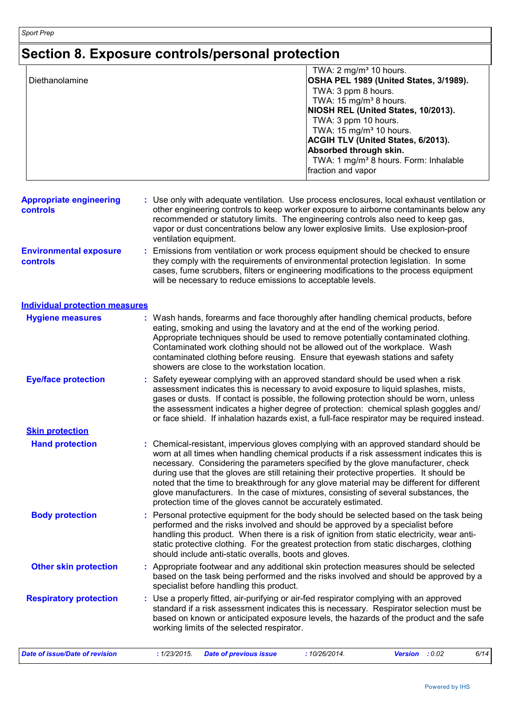# **Section 8. Exposure controls/personal protection**

| Diethanolamine                             | TWA: 2 mg/m <sup>3</sup> 10 hours.<br>OSHA PEL 1989 (United States, 3/1989).<br>TWA: 3 ppm 8 hours.<br>TWA: 15 mg/m <sup>3</sup> 8 hours.<br>NIOSH REL (United States, 10/2013).<br>TWA: 3 ppm 10 hours.<br>TWA: 15 mg/m <sup>3</sup> 10 hours.<br>ACGIH TLV (United States, 6/2013).<br>Absorbed through skin.<br>TWA: 1 mg/m <sup>3</sup> 8 hours. Form: Inhalable<br>fraction and vapor                                                                                                                                                                                                                             |  |  |  |
|--------------------------------------------|------------------------------------------------------------------------------------------------------------------------------------------------------------------------------------------------------------------------------------------------------------------------------------------------------------------------------------------------------------------------------------------------------------------------------------------------------------------------------------------------------------------------------------------------------------------------------------------------------------------------|--|--|--|
| <b>Appropriate engineering</b><br>controls | : Use only with adequate ventilation. Use process enclosures, local exhaust ventilation or<br>other engineering controls to keep worker exposure to airborne contaminants below any<br>recommended or statutory limits. The engineering controls also need to keep gas,<br>vapor or dust concentrations below any lower explosive limits. Use explosion-proof<br>ventilation equipment.                                                                                                                                                                                                                                |  |  |  |
| <b>Environmental exposure</b><br>controls  | Emissions from ventilation or work process equipment should be checked to ensure<br>they comply with the requirements of environmental protection legislation. In some<br>cases, fume scrubbers, filters or engineering modifications to the process equipment<br>will be necessary to reduce emissions to acceptable levels.                                                                                                                                                                                                                                                                                          |  |  |  |
| <b>Individual protection measures</b>      |                                                                                                                                                                                                                                                                                                                                                                                                                                                                                                                                                                                                                        |  |  |  |
| <b>Hygiene measures</b>                    | : Wash hands, forearms and face thoroughly after handling chemical products, before<br>eating, smoking and using the lavatory and at the end of the working period.<br>Appropriate techniques should be used to remove potentially contaminated clothing.<br>Contaminated work clothing should not be allowed out of the workplace. Wash<br>contaminated clothing before reusing. Ensure that eyewash stations and safety<br>showers are close to the workstation location.                                                                                                                                            |  |  |  |
| <b>Eye/face protection</b>                 | Safety eyewear complying with an approved standard should be used when a risk<br>assessment indicates this is necessary to avoid exposure to liquid splashes, mists,<br>gases or dusts. If contact is possible, the following protection should be worn, unless<br>the assessment indicates a higher degree of protection: chemical splash goggles and/<br>or face shield. If inhalation hazards exist, a full-face respirator may be required instead.                                                                                                                                                                |  |  |  |
| <b>Skin protection</b>                     |                                                                                                                                                                                                                                                                                                                                                                                                                                                                                                                                                                                                                        |  |  |  |
| <b>Hand protection</b>                     | : Chemical-resistant, impervious gloves complying with an approved standard should be<br>worn at all times when handling chemical products if a risk assessment indicates this is<br>necessary. Considering the parameters specified by the glove manufacturer, check<br>during use that the gloves are still retaining their protective properties. It should be<br>noted that the time to breakthrough for any glove material may be different for different<br>glove manufacturers. In the case of mixtures, consisting of several substances, the<br>protection time of the gloves cannot be accurately estimated. |  |  |  |
| <b>Body protection</b>                     | Personal protective equipment for the body should be selected based on the task being<br>performed and the risks involved and should be approved by a specialist before<br>handling this product. When there is a risk of ignition from static electricity, wear anti-<br>static protective clothing. For the greatest protection from static discharges, clothing<br>should include anti-static overalls, boots and gloves.                                                                                                                                                                                           |  |  |  |
| <b>Other skin protection</b>               | Appropriate footwear and any additional skin protection measures should be selected<br>based on the task being performed and the risks involved and should be approved by a<br>specialist before handling this product.                                                                                                                                                                                                                                                                                                                                                                                                |  |  |  |
| <b>Respiratory protection</b>              | Use a properly fitted, air-purifying or air-fed respirator complying with an approved<br>standard if a risk assessment indicates this is necessary. Respirator selection must be<br>based on known or anticipated exposure levels, the hazards of the product and the safe<br>working limits of the selected respirator.                                                                                                                                                                                                                                                                                               |  |  |  |
| <b>Date of issue/Date of revision</b>      | 6/14<br>: 1/23/2015.<br>: 10/26/2014.<br>Version : 0.02<br><b>Date of previous issue</b>                                                                                                                                                                                                                                                                                                                                                                                                                                                                                                                               |  |  |  |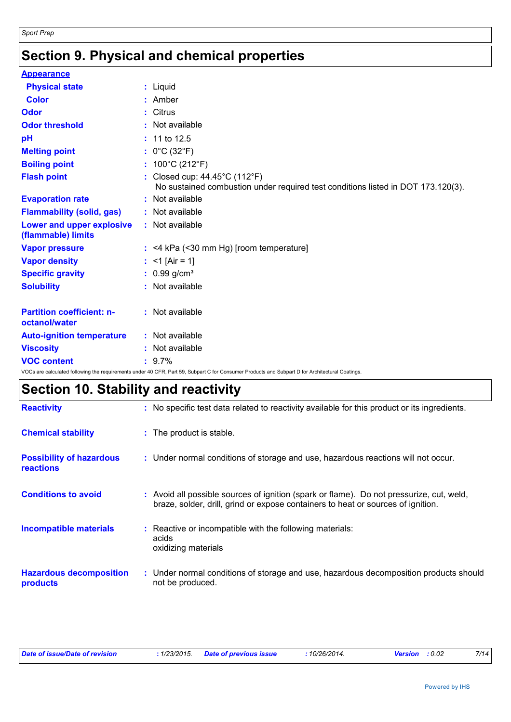# **Section 9. Physical and chemical properties**

| <b>Appearance</b>                                 |                                                                                                                                                 |
|---------------------------------------------------|-------------------------------------------------------------------------------------------------------------------------------------------------|
| <b>Physical state</b>                             | : Liquid                                                                                                                                        |
| <b>Color</b>                                      | $:$ Amber                                                                                                                                       |
| Odor                                              | : Citrus                                                                                                                                        |
| <b>Odor threshold</b>                             | : Not available                                                                                                                                 |
| pH                                                | $: 11$ to 12.5                                                                                                                                  |
| <b>Melting point</b>                              | : $0^{\circ}$ C (32 $^{\circ}$ F)                                                                                                               |
| <b>Boiling point</b>                              | : $100^{\circ}$ C (212 $^{\circ}$ F)                                                                                                            |
| <b>Flash point</b>                                | : Closed cup: 44.45°C (112°F)<br>No sustained combustion under required test conditions listed in DOT 173.120(3).                               |
| <b>Evaporation rate</b>                           | : Not available                                                                                                                                 |
| <b>Flammability (solid, gas)</b>                  | : Not available                                                                                                                                 |
| Lower and upper explosive<br>(flammable) limits   | : Not available                                                                                                                                 |
| <b>Vapor pressure</b>                             | $:$ <4 kPa (<30 mm Hg) [room temperature]                                                                                                       |
| <b>Vapor density</b>                              | : <1 $[Air = 1]$                                                                                                                                |
| <b>Specific gravity</b>                           | : $0.99$ g/cm <sup>3</sup>                                                                                                                      |
| <b>Solubility</b>                                 | : Not available                                                                                                                                 |
| <b>Partition coefficient: n-</b><br>octanol/water | : Not available                                                                                                                                 |
| <b>Auto-ignition temperature</b>                  | : Not available                                                                                                                                 |
| <b>Viscosity</b>                                  | : Not available                                                                                                                                 |
| <b>VOC content</b>                                | $: 9.7\%$                                                                                                                                       |
|                                                   | VOCs are calculated following the requirements under 40 CFR, Part 59, Subpart C for Consumer Products and Subpart D for Architectural Coatings. |

# **Section 10. Stability and reactivity**

| <b>Reactivity</b>                                   | : No specific test data related to reactivity available for this product or its ingredients.                                                                                 |
|-----------------------------------------------------|------------------------------------------------------------------------------------------------------------------------------------------------------------------------------|
| <b>Chemical stability</b>                           | : The product is stable.                                                                                                                                                     |
| <b>Possibility of hazardous</b><br><b>reactions</b> | : Under normal conditions of storage and use, hazardous reactions will not occur.                                                                                            |
| <b>Conditions to avoid</b>                          | : Avoid all possible sources of ignition (spark or flame). Do not pressurize, cut, weld,<br>braze, solder, drill, grind or expose containers to heat or sources of ignition. |
| <b>Incompatible materials</b>                       | : Reactive or incompatible with the following materials:<br>acids<br>oxidizing materials                                                                                     |
| <b>Hazardous decomposition</b><br>products          | : Under normal conditions of storage and use, hazardous decomposition products should<br>not be produced.                                                                    |

| Date of issue/Date of revision<br>.1/23/2015. | <b>Date of previous issue</b> | $\cdot$ 10/26/2014. | <b>Version</b> : 0.02 |  |
|-----------------------------------------------|-------------------------------|---------------------|-----------------------|--|
|-----------------------------------------------|-------------------------------|---------------------|-----------------------|--|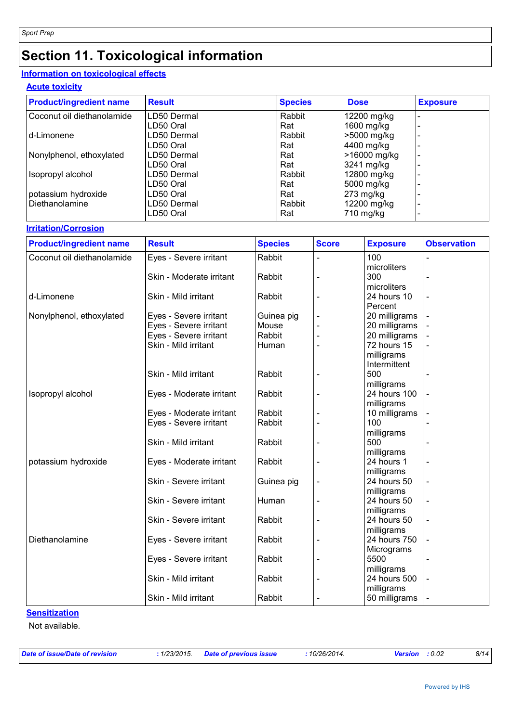# **Section 11. Toxicological information**

#### **Information on toxicological effects**

#### **Acute toxicity**

| <b>Product/ingredient name</b> | <b>Result</b> | <b>Species</b> | <b>Dose</b>  | <b>Exposure</b> |
|--------------------------------|---------------|----------------|--------------|-----------------|
| Coconut oil diethanolamide     | LD50 Dermal   | Rabbit         | 12200 mg/kg  |                 |
|                                | LD50 Oral     | Rat            | 1600 mg/kg   |                 |
| d-Limonene                     | LD50 Dermal   | Rabbit         | >5000 mg/kg  |                 |
|                                | LD50 Oral     | Rat            | 4400 mg/kg   |                 |
| Nonylphenol, ethoxylated       | LD50 Dermal   | Rat            | >16000 mg/kg |                 |
|                                | LD50 Oral     | Rat            | 3241 mg/kg   |                 |
| Isopropyl alcohol              | LD50 Dermal   | Rabbit         | 12800 mg/kg  |                 |
|                                | LD50 Oral     | Rat            | 5000 mg/kg   |                 |
| potassium hydroxide            | LD50 Oral     | Rat            | 273 mg/kg    |                 |
| l Diethanolamine               | LD50 Dermal   | Rabbit         | 12200 mg/kg  |                 |
|                                | LD50 Oral     | Rat            | $710$ mg/kg  |                 |

#### **Irritation/Corrosion**

| <b>Product/ingredient name</b> | <b>Result</b>            | <b>Species</b> | <b>Score</b> | <b>Exposure</b> | <b>Observation</b> |
|--------------------------------|--------------------------|----------------|--------------|-----------------|--------------------|
| Coconut oil diethanolamide     | Eyes - Severe irritant   | Rabbit         |              | 100             |                    |
|                                |                          |                |              | microliters     |                    |
|                                | Skin - Moderate irritant | Rabbit         |              | 300             |                    |
|                                |                          |                |              | microliters     |                    |
| d-Limonene                     | Skin - Mild irritant     | Rabbit         |              | 24 hours 10     |                    |
|                                |                          |                |              | Percent         |                    |
| Nonylphenol, ethoxylated       | Eyes - Severe irritant   | Guinea pig     |              | 20 milligrams   |                    |
|                                | Eyes - Severe irritant   | Mouse          |              | 20 milligrams   |                    |
|                                | Eyes - Severe irritant   | Rabbit         |              | 20 milligrams   |                    |
|                                | Skin - Mild irritant     | Human          |              | 72 hours 15     |                    |
|                                |                          |                |              | milligrams      |                    |
|                                |                          |                |              | Intermittent    |                    |
|                                | Skin - Mild irritant     | Rabbit         |              | 500             |                    |
|                                |                          |                |              | milligrams      |                    |
| Isopropyl alcohol              | Eyes - Moderate irritant | Rabbit         |              | 24 hours 100    |                    |
|                                |                          |                |              | milligrams      |                    |
|                                | Eyes - Moderate irritant | Rabbit         |              | 10 milligrams   |                    |
|                                | Eyes - Severe irritant   | Rabbit         |              | 100             |                    |
|                                |                          |                |              | milligrams      |                    |
|                                | Skin - Mild irritant     | Rabbit         |              | 500             |                    |
|                                |                          |                |              | milligrams      |                    |
| potassium hydroxide            | Eyes - Moderate irritant | Rabbit         |              | 24 hours 1      |                    |
|                                |                          |                |              | milligrams      |                    |
|                                | Skin - Severe irritant   | Guinea pig     |              | 24 hours 50     |                    |
|                                |                          |                |              | milligrams      |                    |
|                                | Skin - Severe irritant   | Human          |              | 24 hours 50     |                    |
|                                |                          |                |              | milligrams      |                    |
|                                | Skin - Severe irritant   | Rabbit         |              | 24 hours 50     |                    |
|                                |                          |                |              | milligrams      |                    |
| Diethanolamine                 | Eyes - Severe irritant   | Rabbit         |              | 24 hours 750    |                    |
|                                |                          |                |              | Micrograms      |                    |
|                                | Eyes - Severe irritant   | Rabbit         |              | 5500            |                    |
|                                |                          |                |              | milligrams      |                    |
|                                | Skin - Mild irritant     | Rabbit         |              | 24 hours 500    |                    |
|                                | Skin - Mild irritant     | Rabbit         |              | milligrams      |                    |
|                                |                          |                |              | 50 milligrams   |                    |

#### **Sensitization**

Not available.

*Date of issue/Date of revision* **:** *1/23/2015. Date of previous issue : 10/26/2014. Version : 0.02 8/14*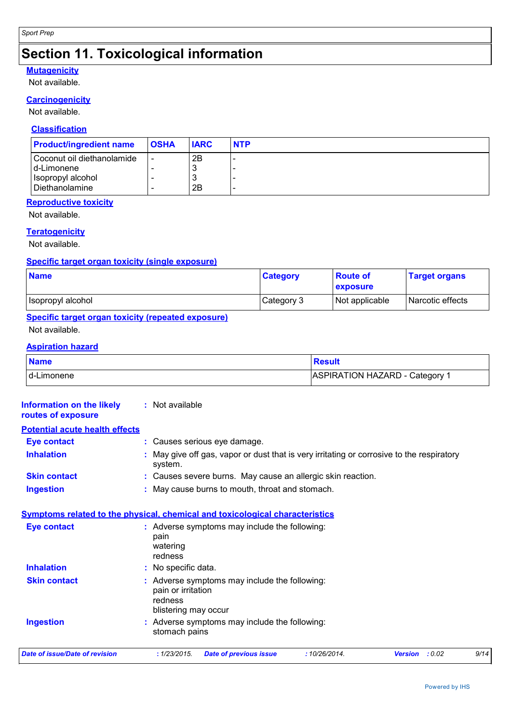# **Section 11. Toxicological information**

#### **Mutagenicity**

Not available.

#### **Carcinogenicity**

Not available.

#### **Classification**

| <b>Product/ingredient name</b> | <b>OSHA</b>              | <b>IARC</b> | <b>NTP</b> |
|--------------------------------|--------------------------|-------------|------------|
| Coconut oil diethanolamide     | $\overline{\phantom{a}}$ | 2B          | $\sim$     |
| I d-Limonene                   |                          | J           | $\sim$     |
| Isopropyl alcohol              |                          | J           |            |
| Diethanolamine                 |                          | 2B          | $\sim$     |

#### **Reproductive toxicity**

Not available.

#### **Teratogenicity**

Not available.

#### **Specific target organ toxicity (single exposure)**

| <b>Name</b>       | <b>Category</b> | <b>Route of</b><br>exposure | <b>Target organs</b> |
|-------------------|-----------------|-----------------------------|----------------------|
| Isopropyl alcohol | Category 3      | Not applicable              | Narcotic effects     |

### **Specific target organ toxicity (repeated exposure)**

Not available.

#### **Aspiration hazard**

| <b>Name</b> | Result                         |
|-------------|--------------------------------|
| d-Limonene  | ASPIRATION HAZARD - Category 1 |

| <b>Information on the likely</b><br>routes of exposure                             |                                                 | : Not available                                                              |                                                                                           |              |                          |      |
|------------------------------------------------------------------------------------|-------------------------------------------------|------------------------------------------------------------------------------|-------------------------------------------------------------------------------------------|--------------|--------------------------|------|
| <b>Potential acute health effects</b>                                              |                                                 |                                                                              |                                                                                           |              |                          |      |
| <b>Eye contact</b>                                                                 |                                                 |                                                                              | : Causes serious eye damage.                                                              |              |                          |      |
| <b>Inhalation</b>                                                                  |                                                 | system.                                                                      | : May give off gas, vapor or dust that is very irritating or corrosive to the respiratory |              |                          |      |
| <b>Skin contact</b><br>: Causes severe burns. May cause an allergic skin reaction. |                                                 |                                                                              |                                                                                           |              |                          |      |
| <b>Ingestion</b>                                                                   | : May cause burns to mouth, throat and stomach. |                                                                              |                                                                                           |              |                          |      |
| Symptoms related to the physical, chemical and toxicological characteristics       |                                                 |                                                                              |                                                                                           |              |                          |      |
| <b>Eye contact</b>                                                                 |                                                 | : Adverse symptoms may include the following:<br>pain<br>watering<br>redness |                                                                                           |              |                          |      |
| <b>Inhalation</b>                                                                  |                                                 | : No specific data.                                                          |                                                                                           |              |                          |      |
| <b>Skin contact</b>                                                                |                                                 | pain or irritation<br>redness<br>blistering may occur                        | : Adverse symptoms may include the following:                                             |              |                          |      |
| <b>Ingestion</b>                                                                   |                                                 | stomach pains                                                                | : Adverse symptoms may include the following:                                             |              |                          |      |
| <b>Date of issue/Date of revision</b>                                              |                                                 | : 1/23/2015.                                                                 | <b>Date of previous issue</b>                                                             | :10/26/2014. | : 0.02<br><b>Version</b> | 9/14 |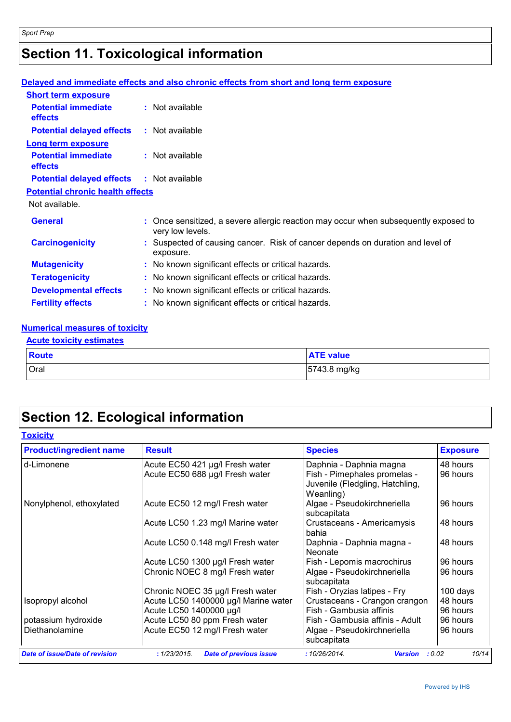# **Section 11. Toxicological information**

#### **Delayed and immediate effects and also chronic effects from short and long term exposure Potential immediate effects :** Not available **Short term exposure**

| епесіз                                       |                                                                                                          |  |  |  |
|----------------------------------------------|----------------------------------------------------------------------------------------------------------|--|--|--|
| <b>Potential delayed effects</b>             | : Not available                                                                                          |  |  |  |
| <b>Long term exposure</b>                    |                                                                                                          |  |  |  |
| <b>Potential immediate</b><br><b>effects</b> | $:$ Not available                                                                                        |  |  |  |
| <b>Potential delayed effects</b>             | : Not available                                                                                          |  |  |  |
| <b>Potential chronic health effects</b>      |                                                                                                          |  |  |  |
| Not available.                               |                                                                                                          |  |  |  |
| <b>General</b>                               | : Once sensitized, a severe allergic reaction may occur when subsequently exposed to<br>very low levels. |  |  |  |
| <b>Carcinogenicity</b>                       | : Suspected of causing cancer. Risk of cancer depends on duration and level of<br>exposure.              |  |  |  |
| <b>Mutagenicity</b>                          | : No known significant effects or critical hazards.                                                      |  |  |  |
| <b>Teratogenicity</b>                        | : No known significant effects or critical hazards.                                                      |  |  |  |
| <b>Developmental effects</b>                 | : No known significant effects or critical hazards.                                                      |  |  |  |
| <b>Fertility effects</b>                     | : No known significant effects or critical hazards.                                                      |  |  |  |
|                                              |                                                                                                          |  |  |  |

#### **Numerical measures of toxicity**

#### **Acute toxicity estimates**

| Route | <b>ATE value</b> |
|-------|------------------|
| Oral  | 5743.8 mg/kg     |

# **Section 12. Ecological information**

| <b>Product/ingredient name</b>        | <b>Result</b>                                 | <b>Species</b>                                                               | <b>Exposure</b> |
|---------------------------------------|-----------------------------------------------|------------------------------------------------------------------------------|-----------------|
| d-Limonene                            | Acute EC50 421 µg/l Fresh water               | Daphnia - Daphnia magna                                                      | 48 hours        |
|                                       | Acute EC50 688 µg/l Fresh water               | Fish - Pimephales promelas -<br>Juvenile (Fledgling, Hatchling,<br>Weanling) | 96 hours        |
| Nonylphenol, ethoxylated              | Acute EC50 12 mg/l Fresh water                | Algae - Pseudokirchneriella<br>subcapitata                                   | 96 hours        |
|                                       | Acute LC50 1.23 mg/l Marine water             | Crustaceans - Americamysis<br>bahia                                          | 48 hours        |
|                                       | Acute LC50 0.148 mg/l Fresh water             | Daphnia - Daphnia magna -<br>Neonate                                         | 48 hours        |
|                                       | Acute LC50 1300 µg/l Fresh water              | Fish - Lepomis macrochirus                                                   | 96 hours        |
|                                       | Chronic NOEC 8 mg/l Fresh water               | Algae - Pseudokirchneriella<br>subcapitata                                   | 96 hours        |
|                                       | Chronic NOEC 35 µg/l Fresh water              | Fish - Oryzias latipes - Fry                                                 | 100 days        |
| Isopropyl alcohol                     | Acute LC50 1400000 µg/l Marine water          | Crustaceans - Crangon crangon                                                | 48 hours        |
|                                       | Acute LC50 1400000 µg/l                       | Fish - Gambusia affinis                                                      | 96 hours        |
| potassium hydroxide                   | Acute LC50 80 ppm Fresh water                 | Fish - Gambusia affinis - Adult                                              | 96 hours        |
| Diethanolamine                        | Acute EC50 12 mg/l Fresh water                | Algae - Pseudokirchneriella<br>subcapitata                                   | 96 hours        |
| <b>Date of issue/Date of revision</b> | : 1/23/2015.<br><b>Date of previous issue</b> | :10/26/2014.<br><b>Version</b>                                               | 10/14<br>: 0.02 |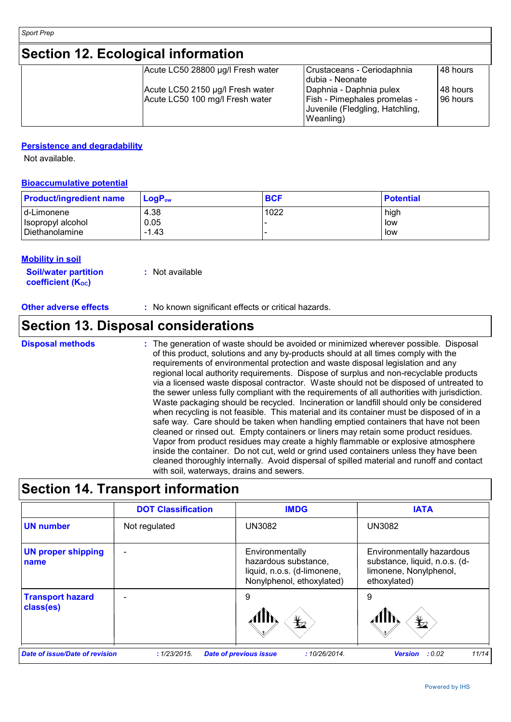# **Section 12. Ecological information**

| Acute LC50 28800 µg/l Fresh water                                   | Crustaceans - Ceriodaphnia<br>Idubia - Neonate                                                                 | 48 hours             |
|---------------------------------------------------------------------|----------------------------------------------------------------------------------------------------------------|----------------------|
| Acute LC50 2150 µg/l Fresh water<br>Acute LC50 100 mg/l Fresh water | Daphnia - Daphnia pulex<br><b>Fish - Pimephales promelas -</b><br>Juvenile (Fledgling, Hatchling,<br>Weanling) | 48 hours<br>96 hours |

#### **Persistence and degradability**

Not available.

#### **Bioaccumulative potential**

| <b>Product/ingredient name</b> | $\mathsf{LogP}_\mathsf{ow}$ | <b>BCF</b> | <b>Potential</b> |
|--------------------------------|-----------------------------|------------|------------------|
| d-Limonene                     | 4.38                        | 1022       | high             |
| Isopropyl alcohol              | 0.05                        |            | low              |
| Diethanolamine                 | $-1.43$                     |            | low              |

#### **Mobility in soil**

| <b>Soil/water partition</b>    | : Not available |
|--------------------------------|-----------------|
| coefficient (K <sub>oc</sub> ) |                 |

### **Section 13. Disposal considerations**

The generation of waste should be avoided or minimized wherever possible. Disposal of this product, solutions and any by-products should at all times comply with the requirements of environmental protection and waste disposal legislation and any regional local authority requirements. Dispose of surplus and non-recyclable products via a licensed waste disposal contractor. Waste should not be disposed of untreated to the sewer unless fully compliant with the requirements of all authorities with jurisdiction. Waste packaging should be recycled. Incineration or landfill should only be considered when recycling is not feasible. This material and its container must be disposed of in a safe way. Care should be taken when handling emptied containers that have not been cleaned or rinsed out. Empty containers or liners may retain some product residues. Vapor from product residues may create a highly flammable or explosive atmosphere inside the container. Do not cut, weld or grind used containers unless they have been cleaned thoroughly internally. Avoid dispersal of spilled material and runoff and contact with soil, waterways, drains and sewers. **Disposal methods :**

### **Section 14. Transport information**

|                                       | <b>DOT Classification</b> | <b>IMDG</b>                                                                                         | <b>IATA</b>                                                                                          |
|---------------------------------------|---------------------------|-----------------------------------------------------------------------------------------------------|------------------------------------------------------------------------------------------------------|
| <b>UN number</b>                      | Not regulated             | <b>UN3082</b>                                                                                       | <b>UN3082</b>                                                                                        |
| <b>UN proper shipping</b><br>name     |                           | Environmentally<br>hazardous substance,<br>liquid, n.o.s. (d-limonene,<br>Nonylphenol, ethoxylated) | Environmentally hazardous<br>substance, liquid, n.o.s. (d-<br>limonene, Nonylphenol,<br>ethoxylated) |
| <b>Transport hazard</b><br>class(es)  |                           | 9<br>$\bigstar$                                                                                     | 9<br>$\bigstar$                                                                                      |
| <b>Date of issue/Date of revision</b> | : 1/23/2015.              | <b>Date of previous issue</b><br>:10/26/2014.                                                       | 11/14<br><b>Version</b><br>: 0.02                                                                    |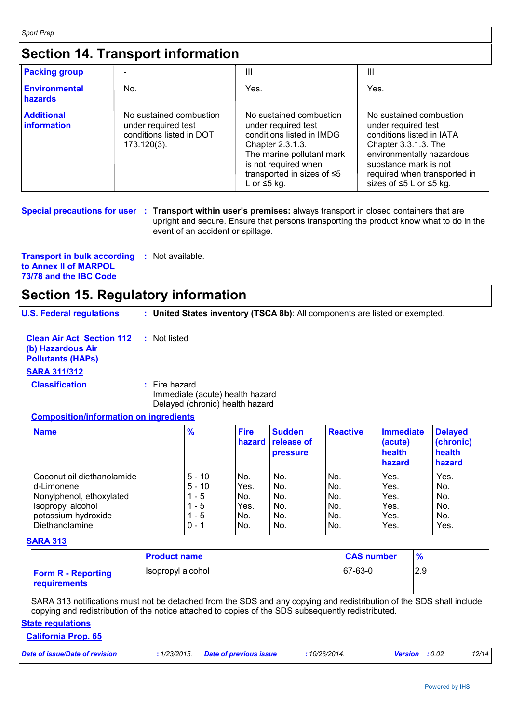*Sport Prep*

# **Section 14. Transport information**

| <b>Packing group</b>                    |                                                                                              | Ш                                                                                                                                                                                                             | Ш                                                                                                                                                                                                                                |
|-----------------------------------------|----------------------------------------------------------------------------------------------|---------------------------------------------------------------------------------------------------------------------------------------------------------------------------------------------------------------|----------------------------------------------------------------------------------------------------------------------------------------------------------------------------------------------------------------------------------|
| Environmental<br>hazards                | No.                                                                                          | Yes.                                                                                                                                                                                                          | Yes.                                                                                                                                                                                                                             |
| <b>Additional</b><br><b>Information</b> | No sustained combustion<br>under required test<br>conditions listed in DOT<br>$173.120(3)$ . | No sustained combustion<br>under required test<br>conditions listed in IMDG<br>Chapter 2.3.1.3.<br>The marine pollutant mark<br>is not required when<br>transported in sizes of $\leq 5$<br>L or $\leq 5$ kg. | No sustained combustion<br>under required test<br>conditions listed in IATA<br>Chapter 3.3.1.3. The<br>environmentally hazardous<br>substance mark is not<br>required when transported in<br>sizes of $\leq 5$ L or $\leq 5$ kg. |

**Special precautions for user** : Transport within user's premises: always transport in closed containers that are upright and secure. Ensure that persons transporting the product know what to do in the event of an accident or spillage.

**Transport in bulk according :** Not available. **to Annex II of MARPOL 73/78 and the IBC Code**

### **Section 15. Regulatory information**

**U.S. Federal regulations : United States inventory (TSCA 8b)**: All components are listed or exempted.

| <b>Clean Air Act Section 112 : Not listed</b><br>(b) Hazardous Air<br><b>Pollutants (HAPS)</b> |                 |
|------------------------------------------------------------------------------------------------|-----------------|
| <b>SARA 311/312</b>                                                                            |                 |
| <b>Classification</b>                                                                          | $:$ Fire hazard |

Immediate (acute) health hazard Delayed (chronic) health hazard

#### **Composition/information on ingredients**

| <b>Name</b>                | $\frac{9}{6}$ | <b>Fire</b><br>hazard | <b>Sudden</b><br>release of<br><b>pressure</b> | <b>Reactive</b> | <b>Immediate</b><br>(acute)<br>health<br>hazard | <b>Delayed</b><br>(chronic)<br>health<br>hazard |
|----------------------------|---------------|-----------------------|------------------------------------------------|-----------------|-------------------------------------------------|-------------------------------------------------|
| Coconut oil diethanolamide | $5 - 10$      | No.                   | No.                                            | No.             | Yes.                                            | Yes.                                            |
| Id-Limonene                | $5 - 10$      | Yes.                  | No.                                            | No.             | Yes.                                            | No.                                             |
| Nonylphenol, ethoxylated   | 1 - 5         | No.                   | No.                                            | No.             | Yes.                                            | No.                                             |
| Isopropyl alcohol          | 1 - 5         | Yes.                  | No.                                            | No.             | Yes.                                            | No.                                             |
| potassium hydroxide        | $1 - 5$       | No.                   | No.                                            | No.             | Yes.                                            | No.                                             |
| Diethanolamine             | $0 - 1$       | INo.                  | No.                                            | No.             | Yes.                                            | Yes.                                            |

#### **SARA 313**

|                                                  | <b>Product name</b> | <b>CAS number</b> | $\frac{9}{6}$ |
|--------------------------------------------------|---------------------|-------------------|---------------|
| <b>Form R - Reporting</b><br><b>requirements</b> | Isopropyl alcohol   | $ 67-63-0$        | 2.9           |

SARA 313 notifications must not be detached from the SDS and any copying and redistribution of the SDS shall include copying and redistribution of the notice attached to copies of the SDS subsequently redistributed.

#### **State regulations**

#### **California Prop. 65**

| : 1/23/2015. Date of previous issue<br><b>Version</b> : 0.02<br><u>and the community of the community of the community of the community of the community of the community of the community of the community of the community of the community of the community of the community of the community</u> | Date of issue/Date of revision |  |  | 10/26/2014. |  |  | 12/14 |
|------------------------------------------------------------------------------------------------------------------------------------------------------------------------------------------------------------------------------------------------------------------------------------------------------|--------------------------------|--|--|-------------|--|--|-------|
|------------------------------------------------------------------------------------------------------------------------------------------------------------------------------------------------------------------------------------------------------------------------------------------------------|--------------------------------|--|--|-------------|--|--|-------|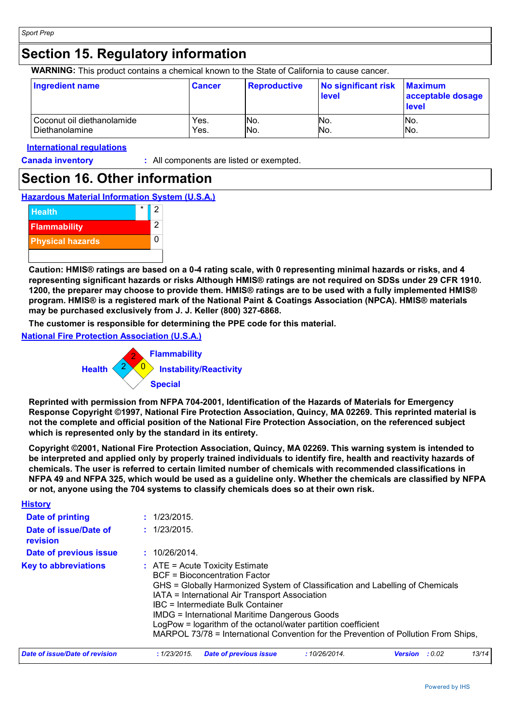### **Section 15. Regulatory information**

**WARNING:** This product contains a chemical known to the State of California to cause cancer.

| <b>Ingredient name</b>     | <b>Cancer</b> | Reproductive | No significant risk<br>level | <b>Maximum</b><br>acceptable dosage<br><b>level</b> |
|----------------------------|---------------|--------------|------------------------------|-----------------------------------------------------|
| Coconut oil diethanolamide | Yes.          | No.          | No.                          | IN <sub>o</sub>                                     |
| Diethanolamine             | Yes.          | No.          | No.                          | No.                                                 |

#### **International regulations**

**Canada inventory :** All components are listed or exempted.

### **Section 16. Other information**

**Hazardous Material Information System (U.S.A.)**



**Caution: HMIS® ratings are based on a 0-4 rating scale, with 0 representing minimal hazards or risks, and 4 representing significant hazards or risks Although HMIS® ratings are not required on SDSs under 29 CFR 1910. 1200, the preparer may choose to provide them. HMIS® ratings are to be used with a fully implemented HMIS® program. HMIS® is a registered mark of the National Paint & Coatings Association (NPCA). HMIS® materials may be purchased exclusively from J. J. Keller (800) 327-6868.**

**The customer is responsible for determining the PPE code for this material.**

**National Fire Protection Association (U.S.A.)**



**Reprinted with permission from NFPA 704-2001, Identification of the Hazards of Materials for Emergency Response Copyright ©1997, National Fire Protection Association, Quincy, MA 02269. This reprinted material is not the complete and official position of the National Fire Protection Association, on the referenced subject which is represented only by the standard in its entirety.**

**Copyright ©2001, National Fire Protection Association, Quincy, MA 02269. This warning system is intended to be interpreted and applied only by properly trained individuals to identify fire, health and reactivity hazards of chemicals. The user is referred to certain limited number of chemicals with recommended classifications in NFPA 49 and NFPA 325, which would be used as a guideline only. Whether the chemicals are classified by NFPA or not, anyone using the 704 systems to classify chemicals does so at their own risk.**

| <b>History</b>                    |               |                                                                                                                                                                                                                                                                                                                                                                                                                                                                            |              |                |        |       |
|-----------------------------------|---------------|----------------------------------------------------------------------------------------------------------------------------------------------------------------------------------------------------------------------------------------------------------------------------------------------------------------------------------------------------------------------------------------------------------------------------------------------------------------------------|--------------|----------------|--------|-------|
| Date of printing                  | : 1/23/2015.  |                                                                                                                                                                                                                                                                                                                                                                                                                                                                            |              |                |        |       |
| Date of issue/Date of<br>revision | : 1/23/2015.  |                                                                                                                                                                                                                                                                                                                                                                                                                                                                            |              |                |        |       |
| Date of previous issue            | : 10/26/2014. |                                                                                                                                                                                                                                                                                                                                                                                                                                                                            |              |                |        |       |
| <b>Key to abbreviations</b>       |               | $\therefore$ ATE = Acute Toxicity Estimate<br><b>BCF</b> = Bioconcentration Factor<br>GHS = Globally Harmonized System of Classification and Labelling of Chemicals<br>IATA = International Air Transport Association<br>IBC = Intermediate Bulk Container<br><b>IMDG = International Maritime Dangerous Goods</b><br>LogPow = logarithm of the octanol/water partition coefficient<br>MARPOL 73/78 = International Convention for the Prevention of Pollution From Ships, |              |                |        |       |
| Date of issue/Date of revision    | : 1/23/2015.  | Date of previous issue                                                                                                                                                                                                                                                                                                                                                                                                                                                     | :10/26/2014. | <b>Version</b> | : 0.02 | 13/14 |